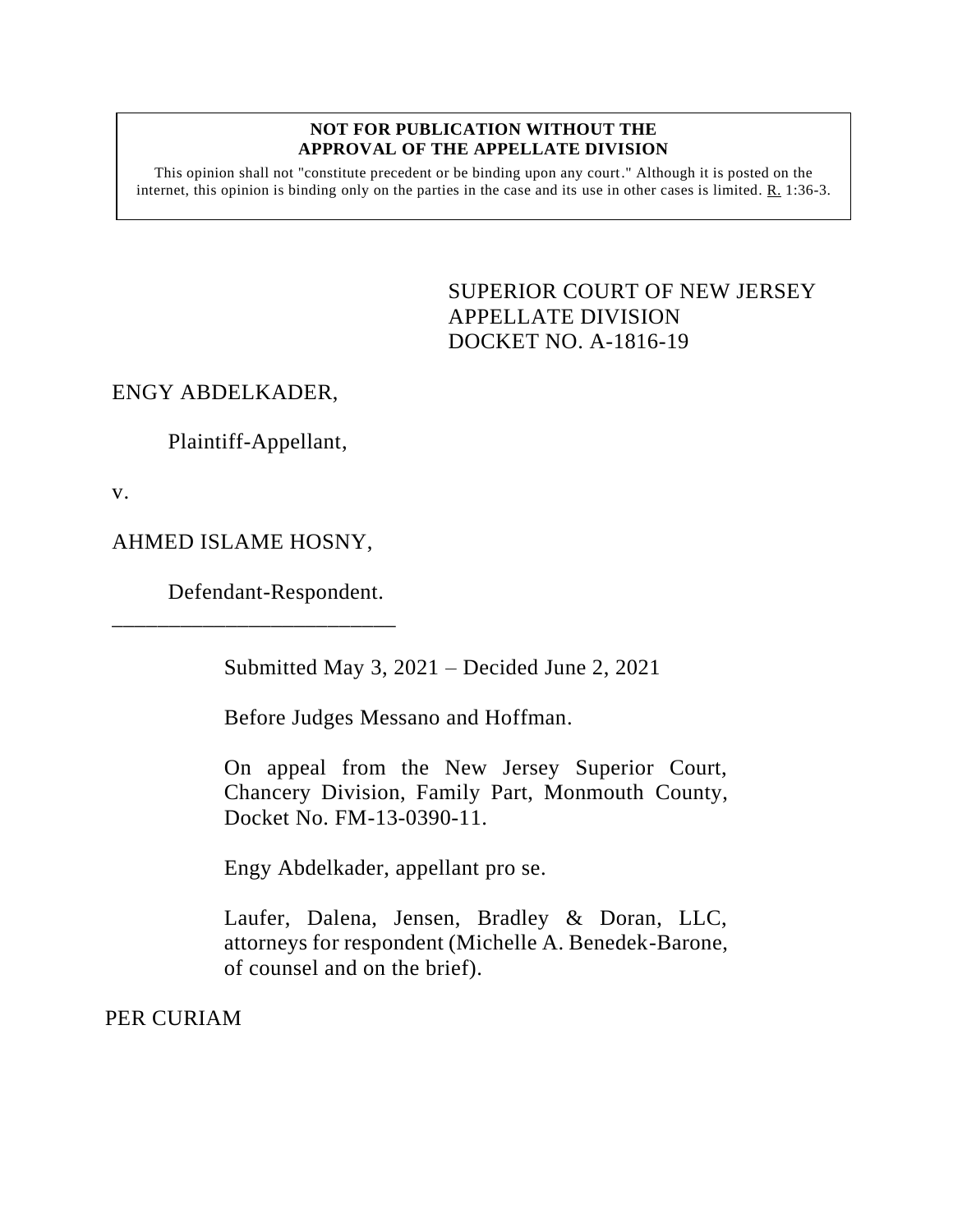#### **NOT FOR PUBLICATION WITHOUT THE APPROVAL OF THE APPELLATE DIVISION**

This opinion shall not "constitute precedent or be binding upon any court." Although it is posted on the internet, this opinion is binding only on the parties in the case and its use in other cases is limited. R. 1:36-3.

> <span id="page-0-0"></span>SUPERIOR COURT OF NEW JERSEY APPELLATE DIVISION DOCKET NO. A-1816-19

# ENGY ABDELKADER,

Plaintiff-Appellant,

v.

AHMED ISLAME HOSNY,

\_\_\_\_\_\_\_\_\_\_\_\_\_\_\_\_\_\_\_\_\_\_\_\_\_

Defendant-Respondent.

Submitted May 3, 2021 – Decided June 2, 2021

Before Judges Messano and Hoffman.

On appeal from the New Jersey Superior Court, Chancery Division, Family Part, Monmouth County, Docket No. FM-13-0390-11.

Engy Abdelkader, appellant pro se.

Laufer, Dalena, Jensen, Bradley & Doran, LLC, attorneys for respondent (Michelle A. Benedek-Barone, of counsel and on the brief).

PER CURIAM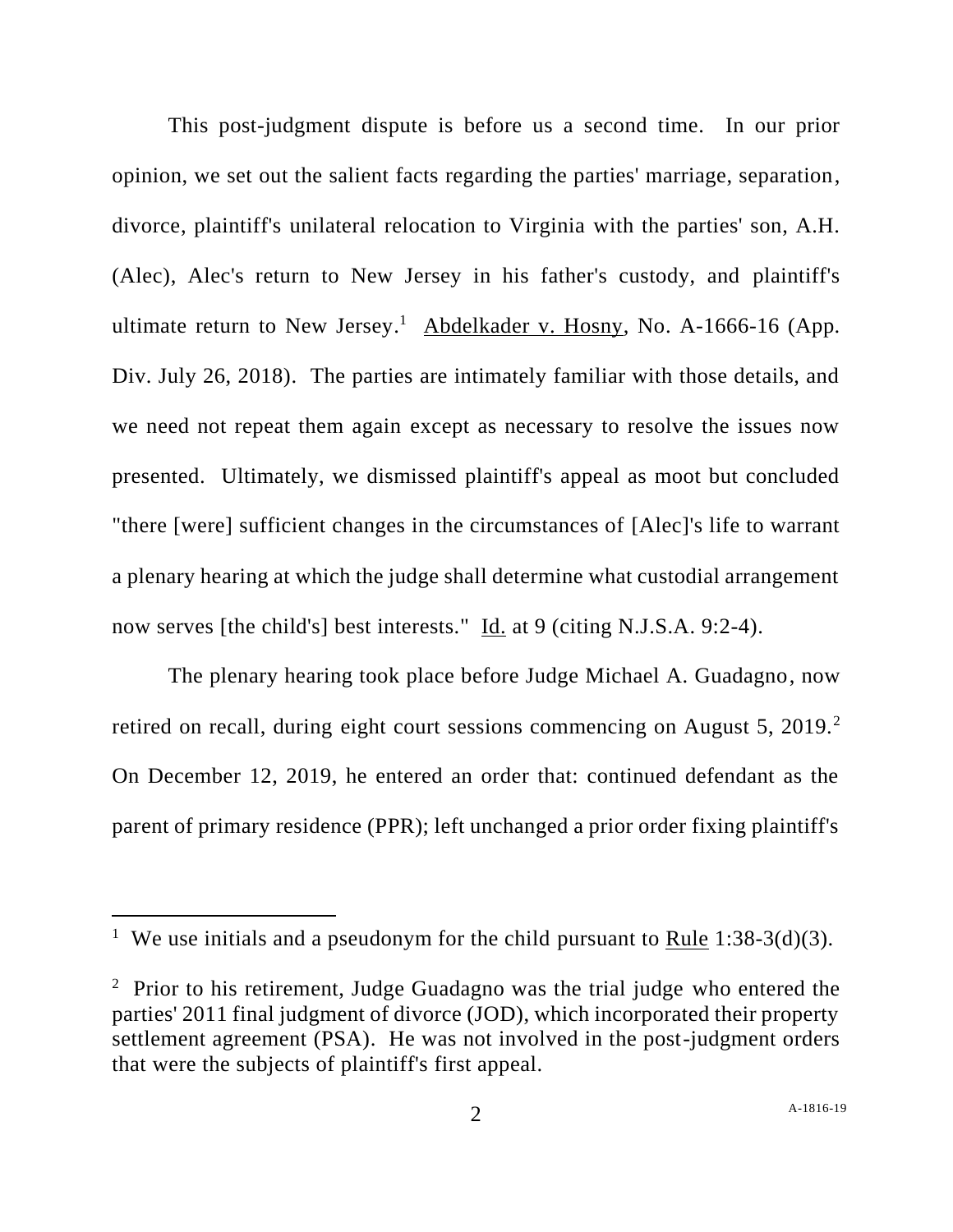This post-judgment dispute is before us a second time. In our prior opinion, we set out the salient facts regarding the parties' marriage, separation, divorce, plaintiff's unilateral relocation to Virginia with the parties' son, A.H. (Alec), Alec's return to New Jersey in his father's custody, and plaintiff's ultimate return to New Jersey.<sup>1</sup> Abdelkader v. Hosny, No. A-1666-16 (App. Div. July 26, 2018). The parties are intimately familiar with those details, and we need not repeat them again except as necessary to resolve the issues now presented. Ultimately, we dismissed plaintiff's appeal as moot but concluded "there [were] sufficient changes in the circumstances of [Alec]'s life to warrant a plenary hearing at which the judge shall determine what custodial arrangement now serves [the child's] best interests." Id. at 9 (citing N.J.S.A. 9:2-4).

The plenary hearing took place before Judge Michael A. Guadagno, now retired on recall, during eight court sessions commencing on August 5, 2019.<sup>2</sup> On December 12, 2019, he entered an order that: continued defendant as the parent of primary residence (PPR); left unchanged a prior order fixing plaintiff's

<sup>&</sup>lt;sup>1</sup> We use initials and a pseudonym for the child pursuant to <u>Rule</u> 1:38-3(d)(3).

<sup>&</sup>lt;sup>2</sup> Prior to his retirement, Judge Guadagno was the trial judge who entered the parties' 2011 final judgment of divorce (JOD), which incorporated their property settlement agreement (PSA). He was not involved in the post-judgment orders that were the subjects of plaintiff's first appeal.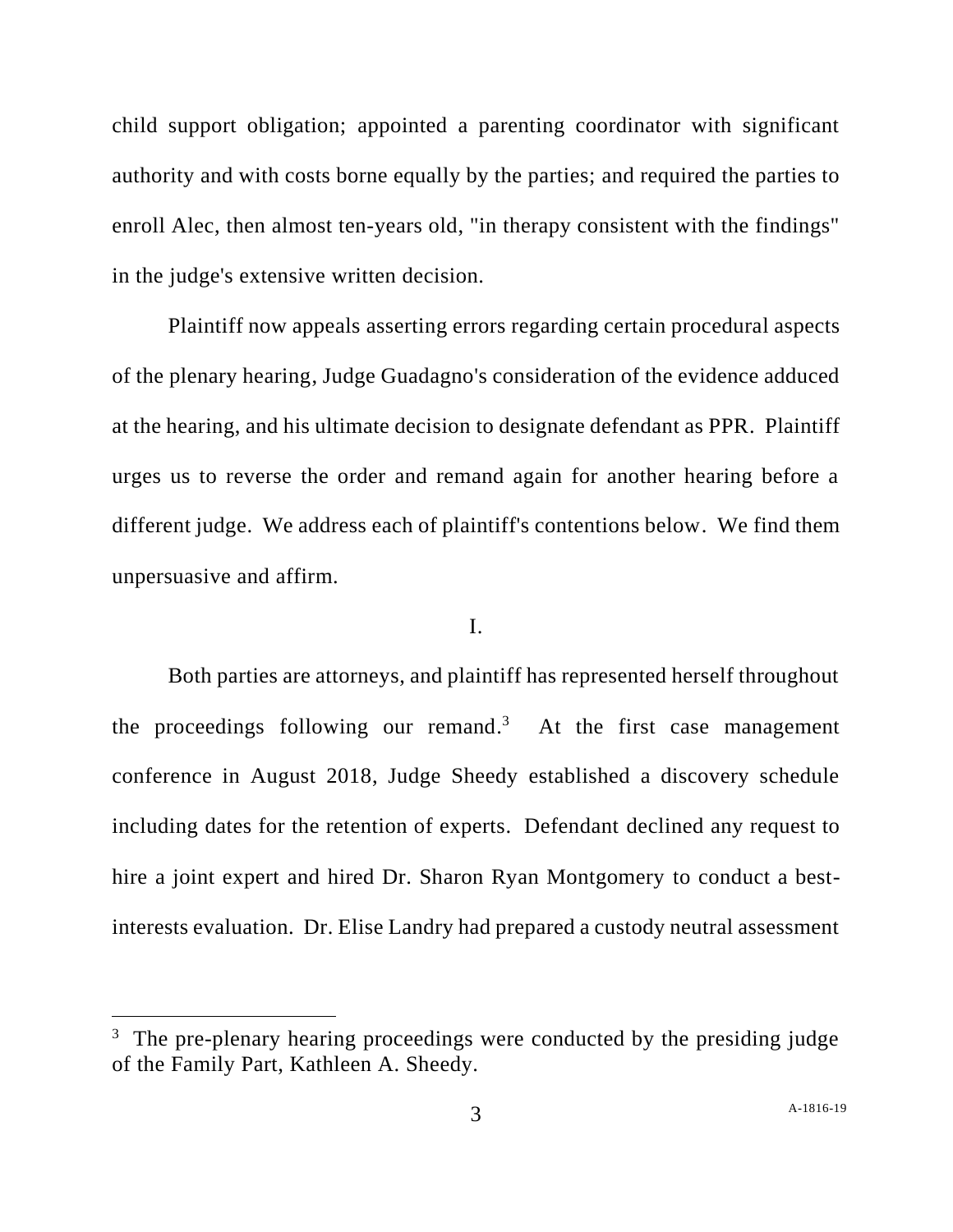child support obligation; appointed a parenting coordinator with significant authority and with costs borne equally by the parties; and required the parties to enroll Alec, then almost ten-years old, "in therapy consistent with the findings" in the judge's extensive written decision.

Plaintiff now appeals asserting errors regarding certain procedural aspects of the plenary hearing, Judge Guadagno's consideration of the evidence adduced at the hearing, and his ultimate decision to designate defendant as PPR. Plaintiff urges us to reverse the order and remand again for another hearing before a different judge. We address each of plaintiff's contentions below. We find them unpersuasive and affirm.

## I.

Both parties are attorneys, and plaintiff has represented herself throughout the proceedings following our remand.<sup>3</sup> At the first case management conference in August 2018, Judge Sheedy established a discovery schedule including dates for the retention of experts. Defendant declined any request to hire a joint expert and hired Dr. Sharon Ryan Montgomery to conduct a bestinterests evaluation. Dr. Elise Landry had prepared a custody neutral assessment

<sup>&</sup>lt;sup>3</sup> The pre-plenary hearing proceedings were conducted by the presiding judge of the Family Part, Kathleen A. Sheedy.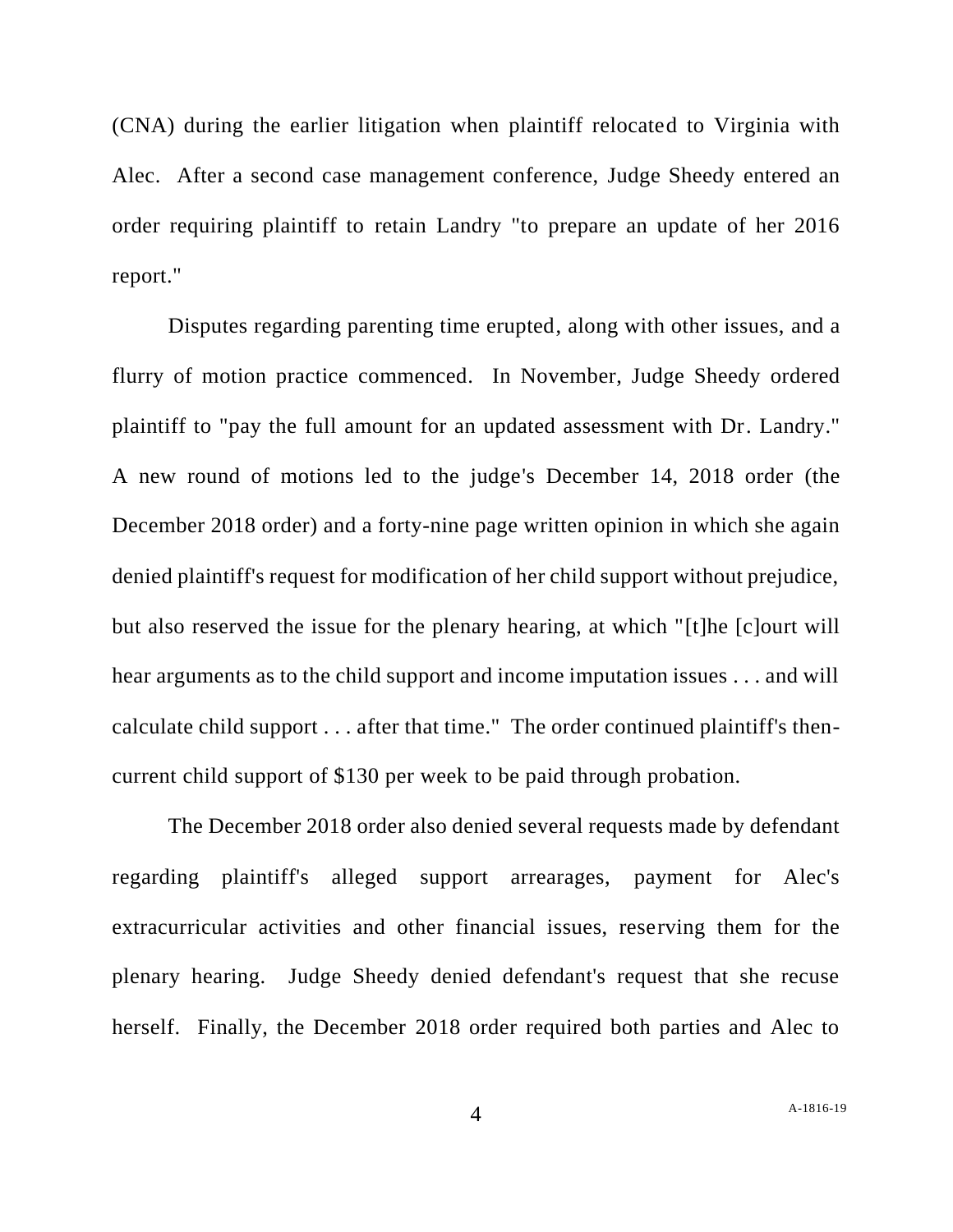(CNA) during the earlier litigation when plaintiff relocated to Virginia with Alec. After a second case management conference, Judge Sheedy entered an order requiring plaintiff to retain Landry "to prepare an update of her 2016 report."

Disputes regarding parenting time erupted, along with other issues, and a flurry of motion practice commenced. In November, Judge Sheedy ordered plaintiff to "pay the full amount for an updated assessment with Dr. Landry." A new round of motions led to the judge's December 14, 2018 order (the December 2018 order) and a forty-nine page written opinion in which she again denied plaintiff's request for modification of her child support without prejudice, but also reserved the issue for the plenary hearing, at which "[t]he [c]ourt will hear arguments as to the child support and income imputation issues . . . and will calculate child support . . . after that time." The order continued plaintiff's thencurrent child support of \$130 per week to be paid through probation.

The December 2018 order also denied several requests made by defendant regarding plaintiff's alleged support arrearages, payment for Alec's extracurricular activities and other financial issues, reserving them for the plenary hearing. Judge Sheedy denied defendant's request that she recuse herself. Finally, the December 2018 order required both parties and Alec to

4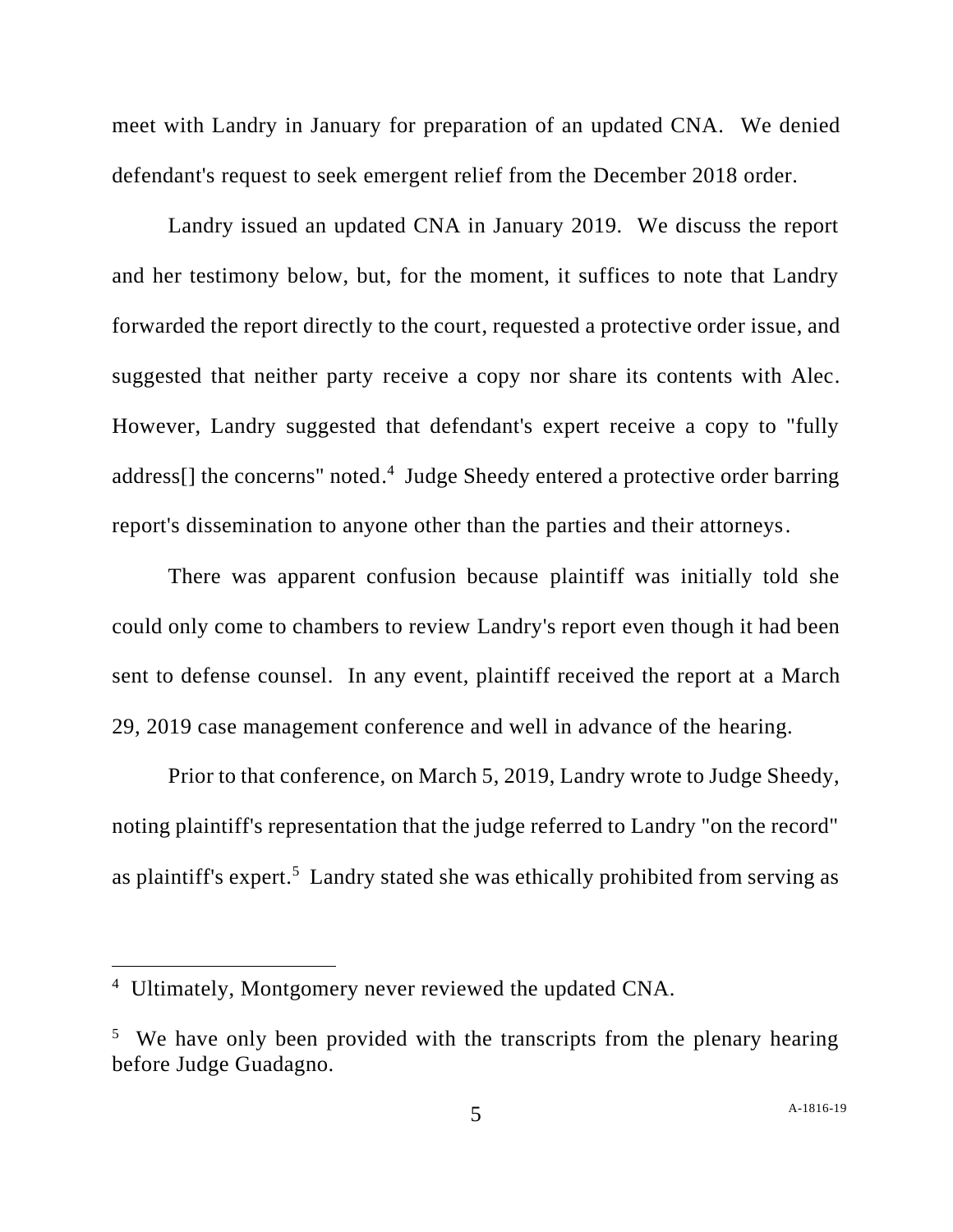meet with Landry in January for preparation of an updated CNA. We denied defendant's request to seek emergent relief from the December 2018 order.

Landry issued an updated CNA in January 2019. We discuss the report and her testimony below, but, for the moment, it suffices to note that Landry forwarded the report directly to the court, requested a protective order issue, and suggested that neither party receive a copy nor share its contents with Alec. However, Landry suggested that defendant's expert receive a copy to "fully address[] the concerns" noted.<sup>4</sup> Judge Sheedy entered a protective order barring report's dissemination to anyone other than the parties and their attorneys.

There was apparent confusion because plaintiff was initially told she could only come to chambers to review Landry's report even though it had been sent to defense counsel. In any event, plaintiff received the report at a March 29, 2019 case management conference and well in advance of the hearing.

Prior to that conference, on March 5, 2019, Landry wrote to Judge Sheedy, noting plaintiff's representation that the judge referred to Landry "on the record" as plaintiff's expert.<sup>5</sup> Landry stated she was ethically prohibited from serving as

<sup>4</sup> Ultimately, Montgomery never reviewed the updated CNA.

<sup>&</sup>lt;sup>5</sup> We have only been provided with the transcripts from the plenary hearing before Judge Guadagno.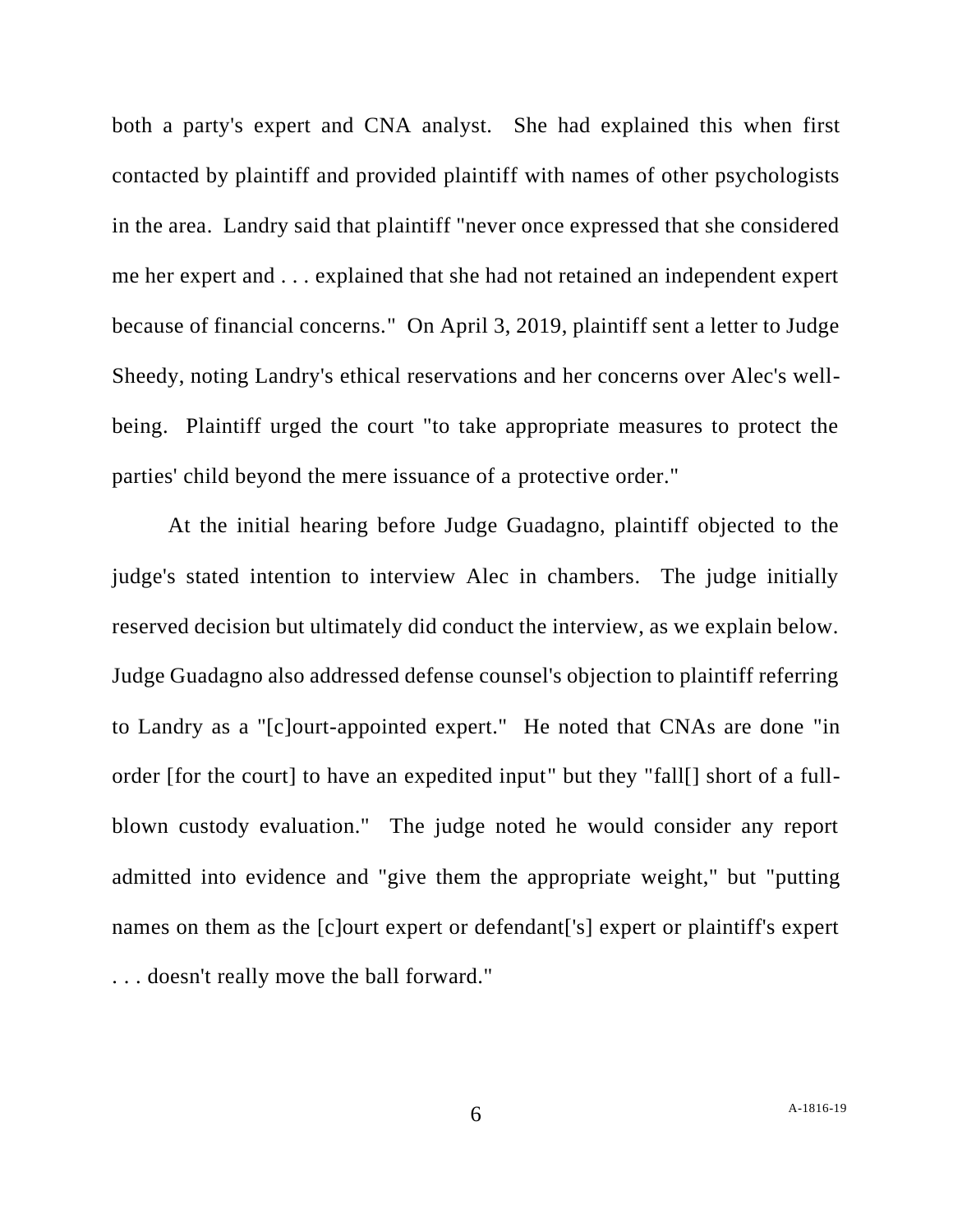both a party's expert and CNA analyst. She had explained this when first contacted by plaintiff and provided plaintiff with names of other psychologists in the area. Landry said that plaintiff "never once expressed that she considered me her expert and . . . explained that she had not retained an independent expert because of financial concerns." On April 3, 2019, plaintiff sent a letter to Judge Sheedy, noting Landry's ethical reservations and her concerns over Alec's wellbeing. Plaintiff urged the court "to take appropriate measures to protect the parties' child beyond the mere issuance of a protective order."

At the initial hearing before Judge Guadagno, plaintiff objected to the judge's stated intention to interview Alec in chambers. The judge initially reserved decision but ultimately did conduct the interview, as we explain below. Judge Guadagno also addressed defense counsel's objection to plaintiff referring to Landry as a "[c]ourt-appointed expert." He noted that CNAs are done "in order [for the court] to have an expedited input" but they "fall[] short of a fullblown custody evaluation." The judge noted he would consider any report admitted into evidence and "give them the appropriate weight," but "putting names on them as the [c]ourt expert or defendant['s] expert or plaintiff's expert . . . doesn't really move the ball forward."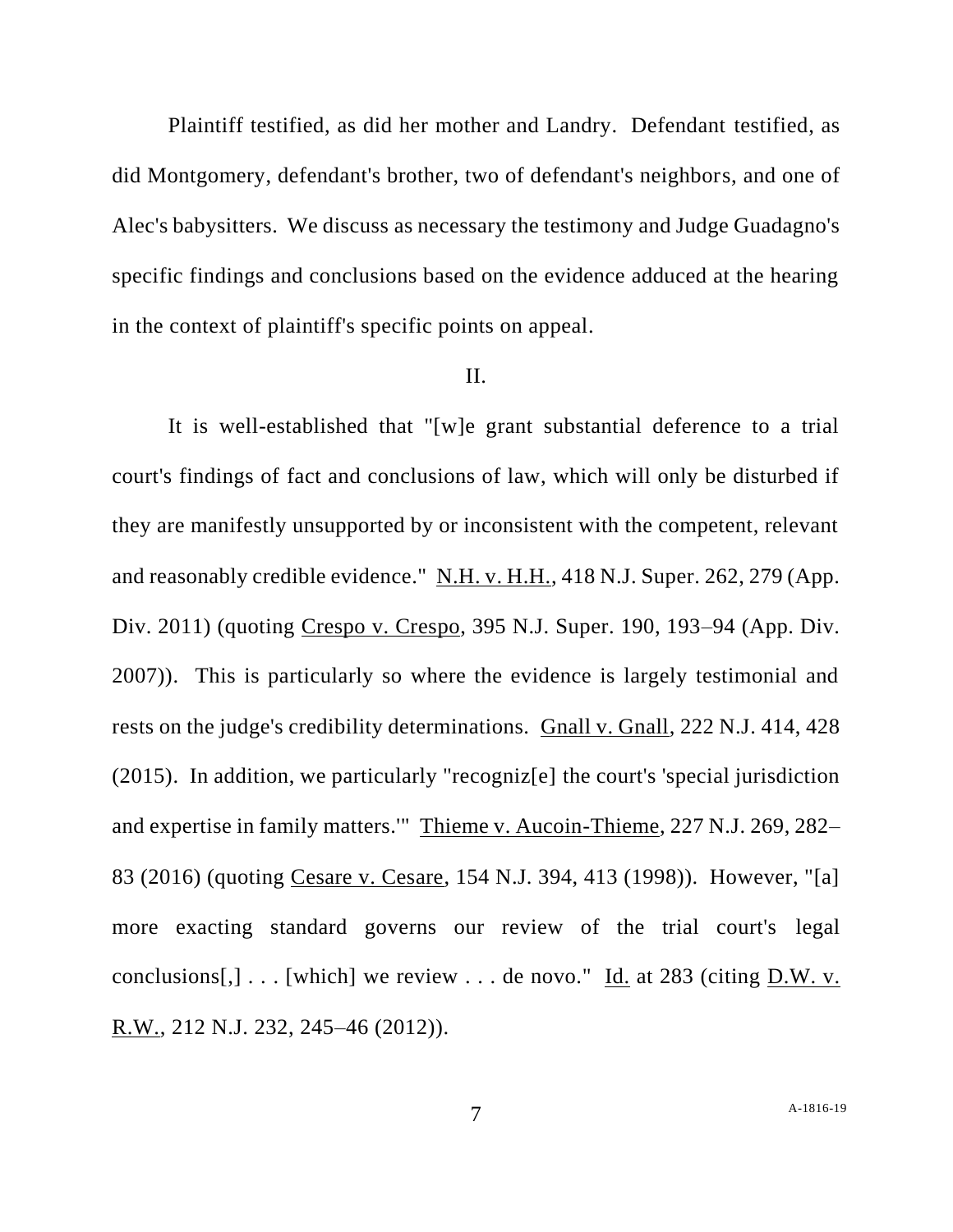Plaintiff testified, as did her mother and Landry. Defendant testified, as did Montgomery, defendant's brother, two of defendant's neighbors, and one of Alec's babysitters. We discuss as necessary the testimony and Judge Guadagno's specific findings and conclusions based on the evidence adduced at the hearing in the context of plaintiff's specific points on appeal.

### II.

It is well-established that "[w]e grant substantial deference to a trial court's findings of fact and conclusions of law, which will only be disturbed if they are manifestly unsupported by or inconsistent with the competent, relevant and reasonably credible evidence." N.H. v. H.H., 418 N.J. Super. 262, 279 (App. Div. 2011) (quoting Crespo v. Crespo, 395 N.J. Super. 190, 193–94 (App. Div. 2007)). This is particularly so where the evidence is largely testimonial and rests on the judge's credibility determinations. Gnall v. Gnall, 222 N.J. 414, 428 (2015). In addition, we particularly "recogniz[e] the court's 'special jurisdiction and expertise in family matters.'" Thieme v. Aucoin-Thieme, 227 N.J. 269, 282– 83 (2016) (quoting Cesare v. Cesare, 154 N.J. 394, 413 (1998)). However, "[a] more exacting standard governs our review of the trial court's legal conclusions[,] . . . [which] we review . . . de novo." Id. at 283 (citing D.W. v. R.W., 212 N.J. 232, 245–46 (2012)).

7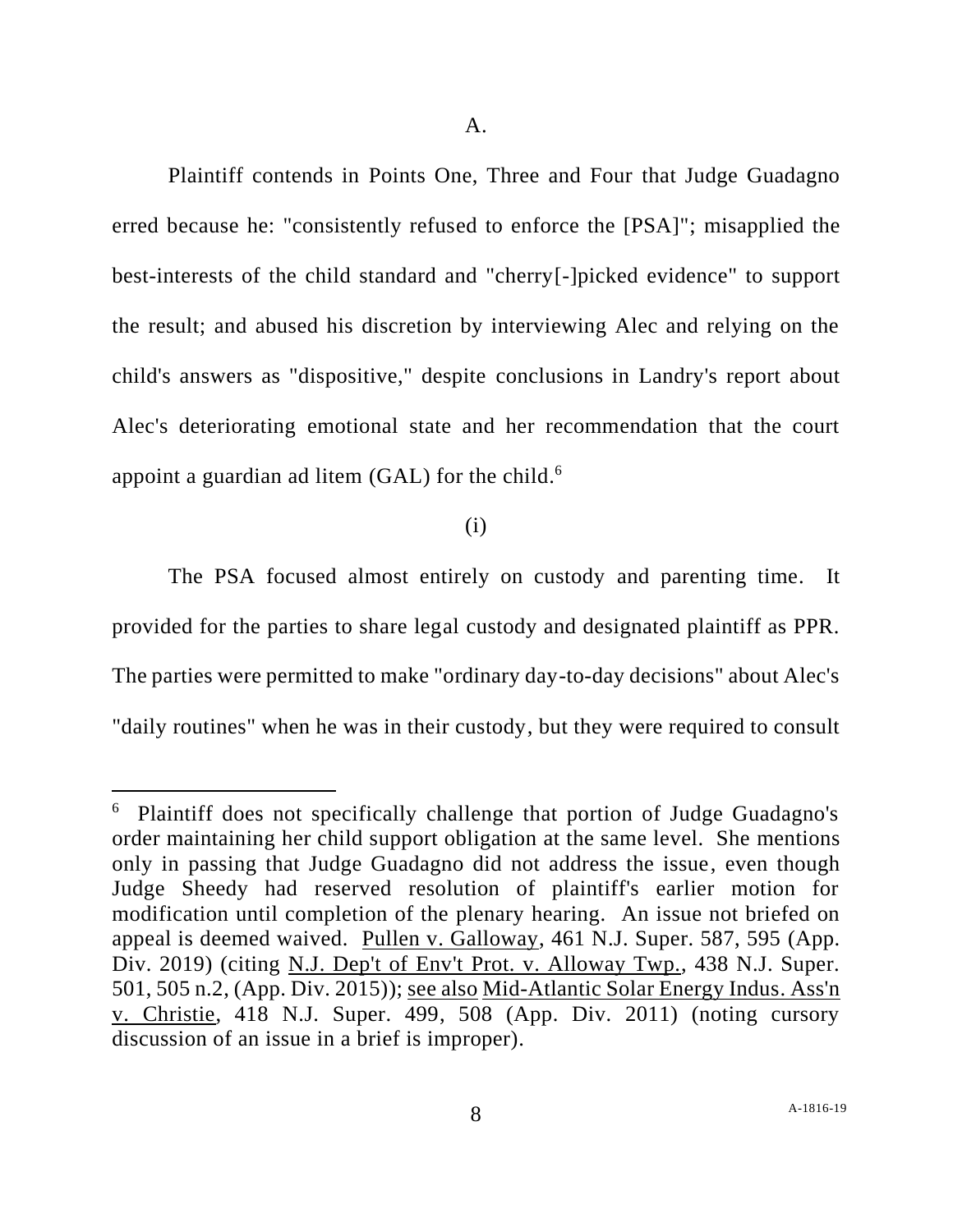Plaintiff contends in Points One, Three and Four that Judge Guadagno erred because he: "consistently refused to enforce the [PSA]"; misapplied the best-interests of the child standard and "cherry[-]picked evidence" to support the result; and abused his discretion by interviewing Alec and relying on the child's answers as "dispositive," despite conclusions in Landry's report about Alec's deteriorating emotional state and her recommendation that the court appoint a guardian ad litem  $(GAL)$  for the child.<sup>6</sup>

(i)

The PSA focused almost entirely on custody and parenting time. It provided for the parties to share legal custody and designated plaintiff as PPR. The parties were permitted to make "ordinary day-to-day decisions" about Alec's "daily routines" when he was in their custody, but they were required to consult

<sup>6</sup> Plaintiff does not specifically challenge that portion of Judge Guadagno's order maintaining her child support obligation at the same level. She mentions only in passing that Judge Guadagno did not address the issue, even though Judge Sheedy had reserved resolution of plaintiff's earlier motion for modification until completion of the plenary hearing. An issue not briefed on appeal is deemed waived. Pullen v. Galloway, 461 N.J. Super. 587, 595 (App. Div. 2019) (citing N.J. Dep't of Env't Prot. v. Alloway Twp., 438 N.J. Super. 501, 505 n.2, (App. Div. 2015)); see also Mid-Atlantic Solar Energy Indus. Ass'n v. Christie, 418 N.J. Super. 499, 508 (App. Div. 2011) (noting cursory discussion of an issue in a brief is improper).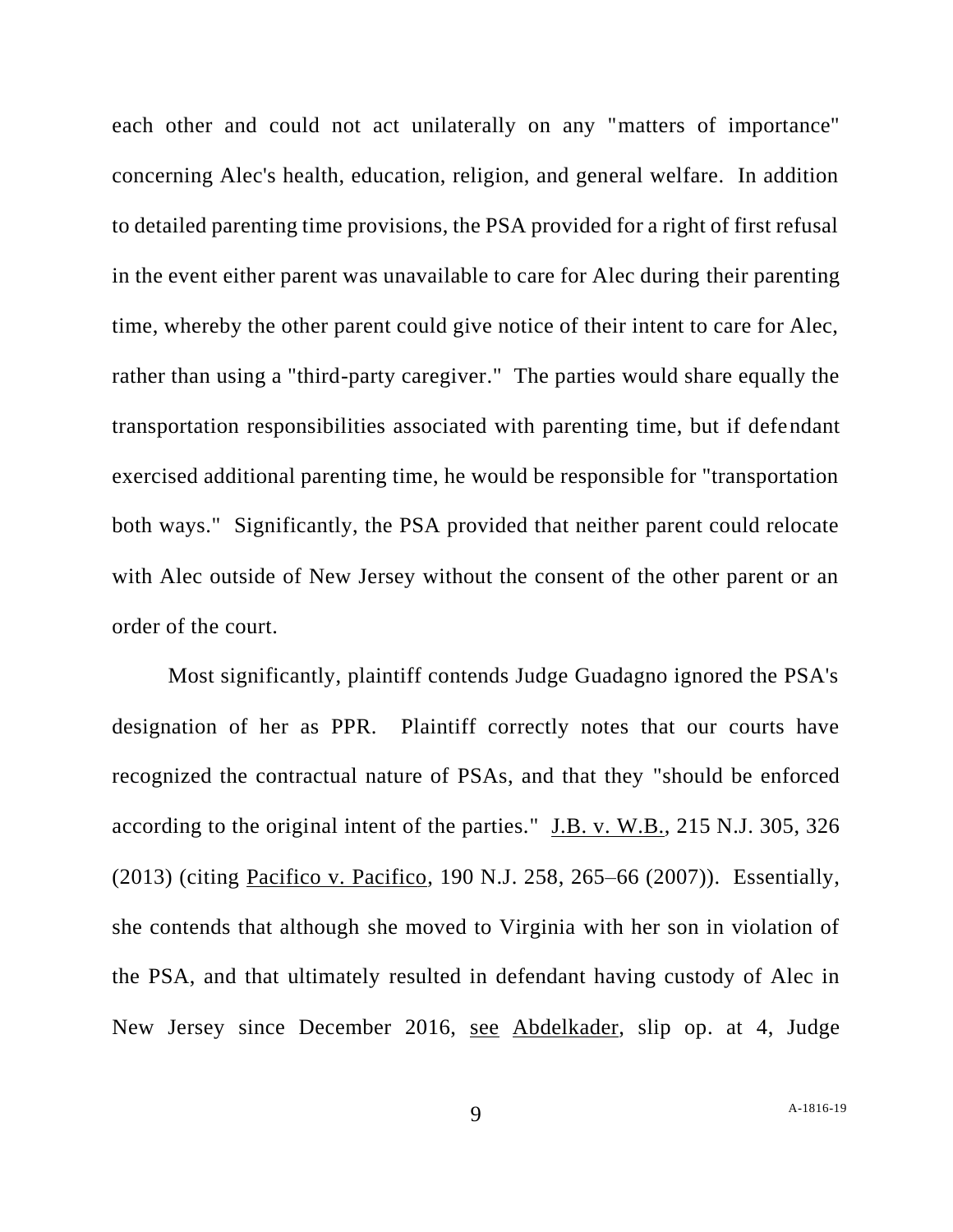each other and could not act unilaterally on any "matters of importance" concerning Alec's health, education, religion, and general welfare. In addition to detailed parenting time provisions, the PSA provided for a right of first refusal in the event either parent was unavailable to care for Alec during their parenting time, whereby the other parent could give notice of their intent to care for Alec, rather than using a "third-party caregiver." The parties would share equally the transportation responsibilities associated with parenting time, but if defendant exercised additional parenting time, he would be responsible for "transportation both ways." Significantly, the PSA provided that neither parent could relocate with Alec outside of New Jersey without the consent of the other parent or an order of the court.

Most significantly, plaintiff contends Judge Guadagno ignored the PSA's designation of her as PPR. Plaintiff correctly notes that our courts have recognized the contractual nature of PSAs, and that they "should be enforced according to the original intent of the parties." J.B. v. W.B., 215 N.J. 305, 326 (2013) (citing Pacifico v. Pacifico, 190 N.J. 258, 265–66 (2007)). Essentially, she contends that although she moved to Virginia with her son in violation of the PSA, and that ultimately resulted in defendant having custody of Alec in New Jersey since December 2016, see Abdelkader, slip op. at 4, Judge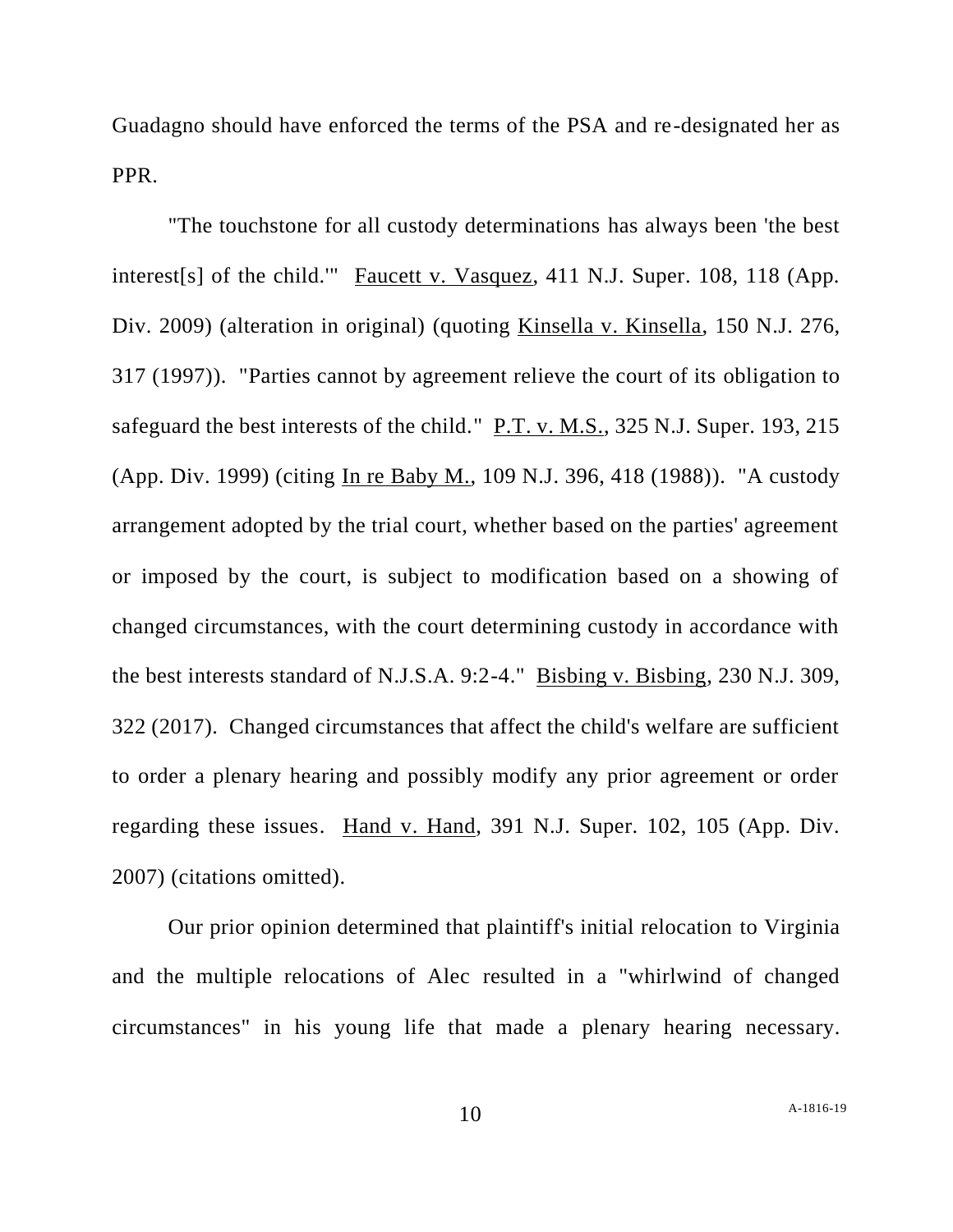Guadagno should have enforced the terms of the PSA and re-designated her as PPR.

"The touchstone for all custody determinations has always been 'the best interest[s] of the child.'" Faucett v. Vasquez, 411 N.J. Super. 108, 118 (App. Div. 2009) (alteration in original) (quoting Kinsella v. Kinsella, 150 N.J. 276, 317 (1997)). "Parties cannot by agreement relieve the court of its obligation to safeguard the best interests of the child."  $P.T. v. M.S., 325 N.J. Super. 193, 215$ (App. Div. 1999) (citing In re Baby M., 109 N.J. 396, 418 (1988)). "A custody arrangement adopted by the trial court, whether based on the parties' agreement or imposed by the court, is subject to modification based on a showing of changed circumstances, with the court determining custody in accordance with the best interests standard of N.J.S.A. 9:2-4." Bisbing v. Bisbing, 230 N.J. 309, 322 (2017). Changed circumstances that affect the child's welfare are sufficient to order a plenary hearing and possibly modify any prior agreement or order regarding these issues. Hand v. Hand, 391 N.J. Super. 102, 105 (App. Div. 2007) (citations omitted).

Our prior opinion determined that plaintiff's initial relocation to Virginia and the multiple relocations of Alec resulted in a "whirlwind of changed circumstances" in his young life that made a plenary hearing necessary.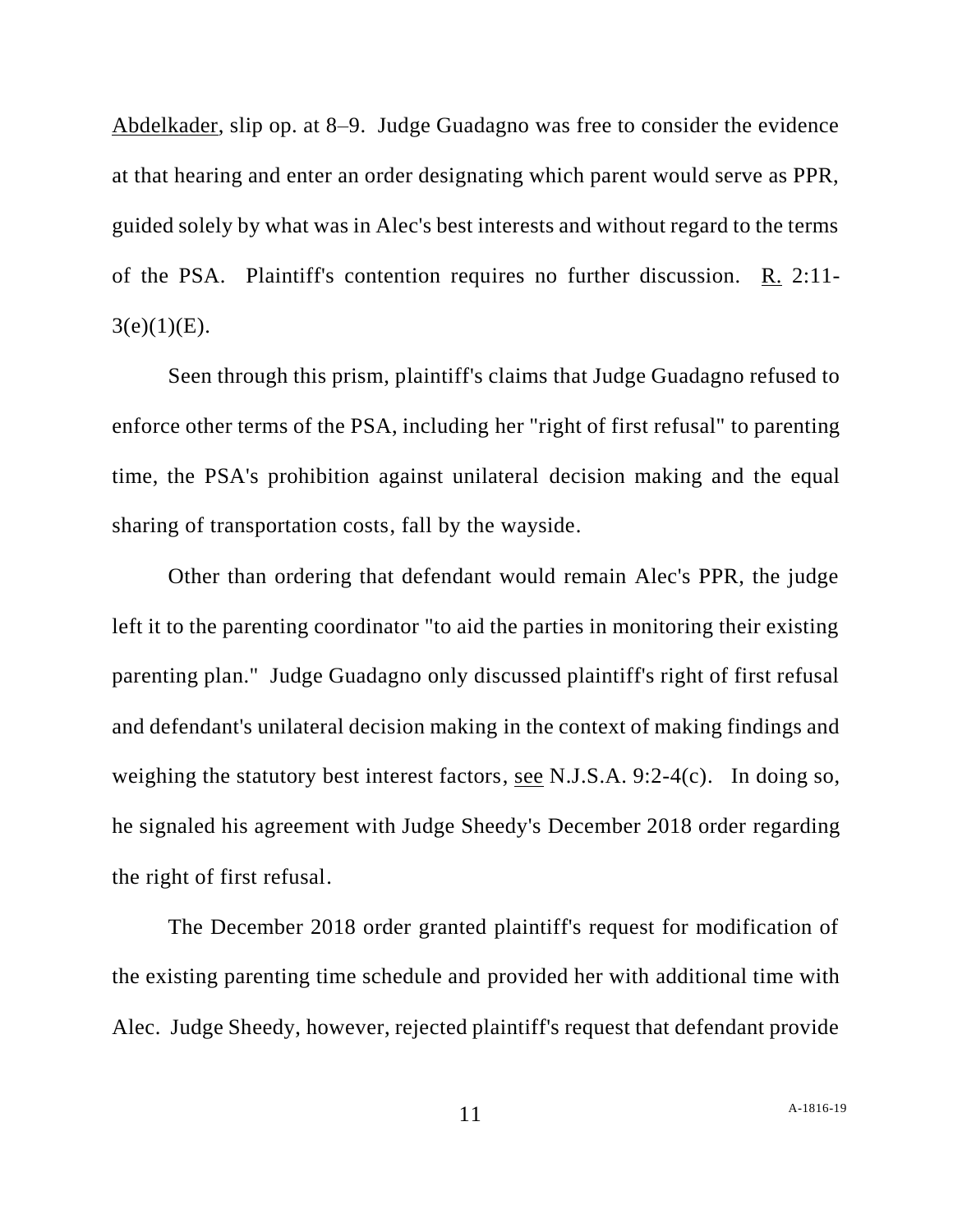Abdelkader, slip op. at 8–9. Judge Guadagno was free to consider the evidence at that hearing and enter an order designating which parent would serve as PPR, guided solely by what was in Alec's best interests and without regard to the terms of the PSA. Plaintiff's contention requires no further discussion. R. 2:11-  $3(e)(1)(E)$ .

Seen through this prism, plaintiff's claims that Judge Guadagno refused to enforce other terms of the PSA, including her "right of first refusal" to parenting time, the PSA's prohibition against unilateral decision making and the equal sharing of transportation costs, fall by the wayside.

Other than ordering that defendant would remain Alec's PPR, the judge left it to the parenting coordinator "to aid the parties in monitoring their existing parenting plan." Judge Guadagno only discussed plaintiff's right of first refusal and defendant's unilateral decision making in the context of making findings and weighing the statutory best interest factors, see N.J.S.A. 9:2-4(c). In doing so, he signaled his agreement with Judge Sheedy's December 2018 order regarding the right of first refusal.

The December 2018 order granted plaintiff's request for modification of the existing parenting time schedule and provided her with additional time with Alec. Judge Sheedy, however, rejected plaintiff's request that defendant provide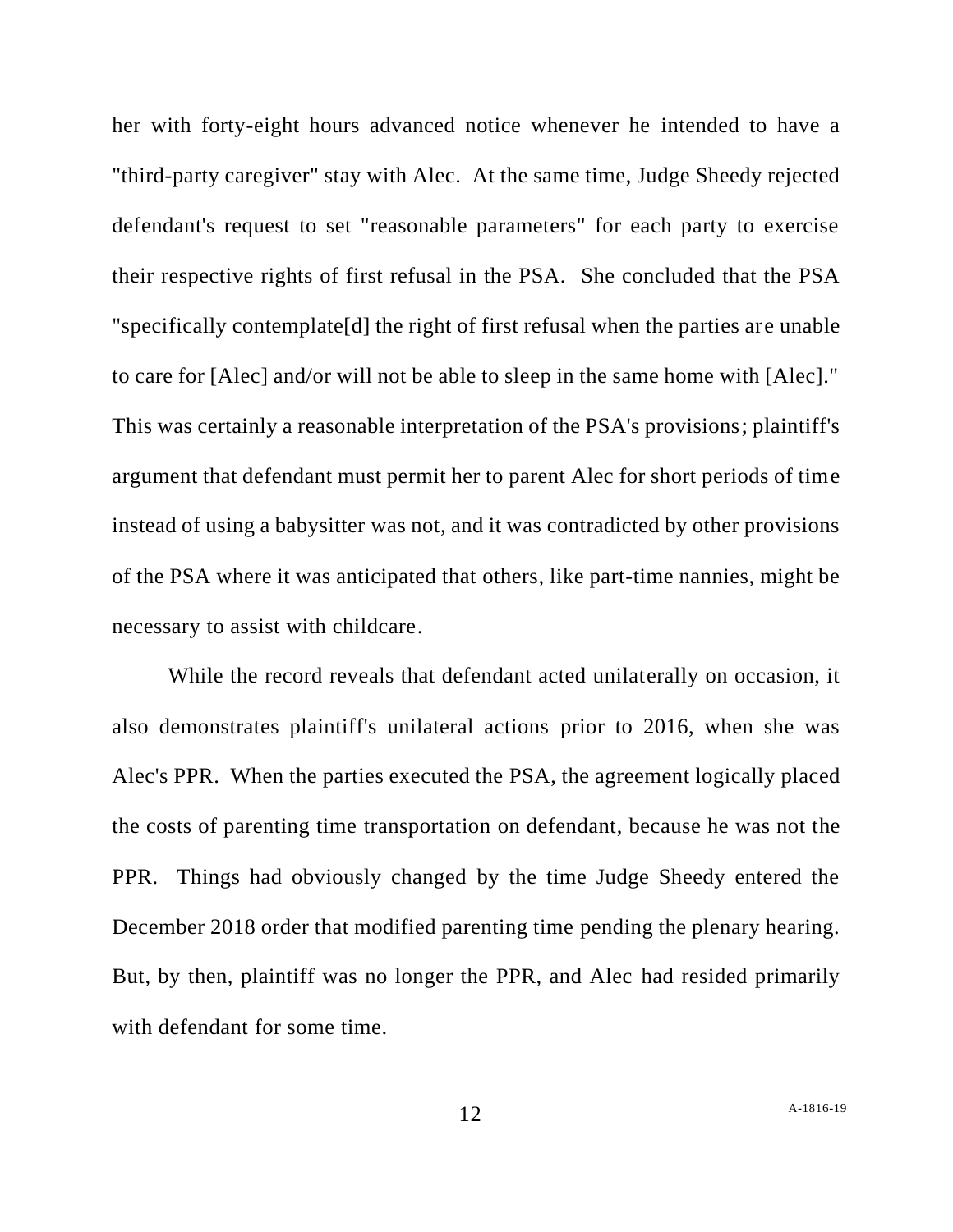her with forty-eight hours advanced notice whenever he intended to have a "third-party caregiver" stay with Alec. At the same time, Judge Sheedy rejected defendant's request to set "reasonable parameters" for each party to exercise their respective rights of first refusal in the PSA. She concluded that the PSA "specifically contemplate[d] the right of first refusal when the parties are unable to care for [Alec] and/or will not be able to sleep in the same home with [Alec]." This was certainly a reasonable interpretation of the PSA's provisions; plaintiff's argument that defendant must permit her to parent Alec for short periods of time instead of using a babysitter was not, and it was contradicted by other provisions of the PSA where it was anticipated that others, like part-time nannies, might be necessary to assist with childcare.

While the record reveals that defendant acted unilaterally on occasion, it also demonstrates plaintiff's unilateral actions prior to 2016, when she was Alec's PPR. When the parties executed the PSA, the agreement logically placed the costs of parenting time transportation on defendant, because he was not the PPR. Things had obviously changed by the time Judge Sheedy entered the December 2018 order that modified parenting time pending the plenary hearing. But, by then, plaintiff was no longer the PPR, and Alec had resided primarily with defendant for some time.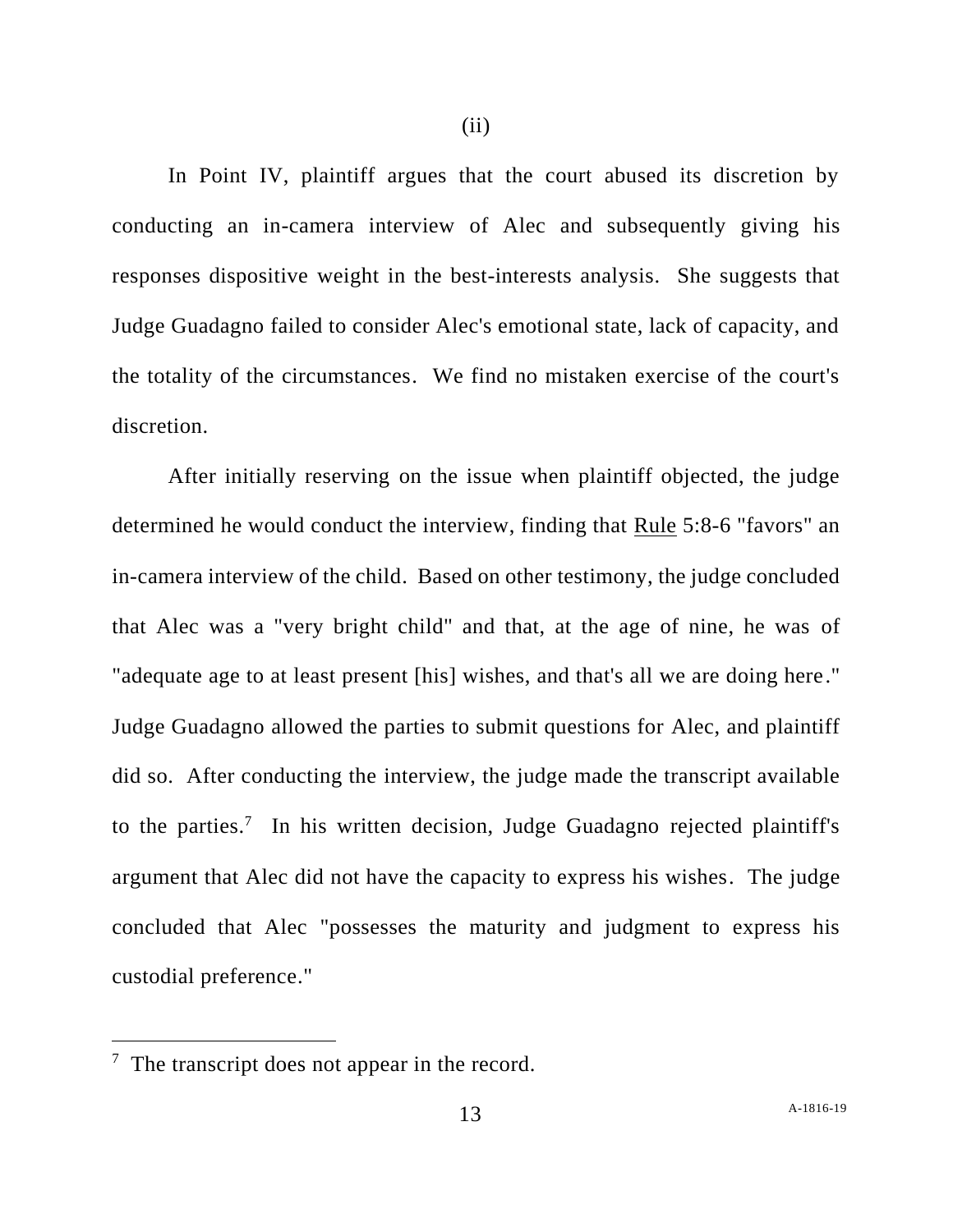In Point IV, plaintiff argues that the court abused its discretion by conducting an in-camera interview of Alec and subsequently giving his responses dispositive weight in the best-interests analysis. She suggests that Judge Guadagno failed to consider Alec's emotional state, lack of capacity, and the totality of the circumstances. We find no mistaken exercise of the court's discretion.

After initially reserving on the issue when plaintiff objected, the judge determined he would conduct the interview, finding that Rule 5:8-6 "favors" an in-camera interview of the child. Based on other testimony, the judge concluded that Alec was a "very bright child" and that, at the age of nine, he was of "adequate age to at least present [his] wishes, and that's all we are doing here." Judge Guadagno allowed the parties to submit questions for Alec, and plaintiff did so. After conducting the interview, the judge made the transcript available to the parties.<sup>7</sup> In his written decision, Judge Guadagno rejected plaintiff's argument that Alec did not have the capacity to express his wishes. The judge concluded that Alec "possesses the maturity and judgment to express his custodial preference."

 $7$  The transcript does not appear in the record.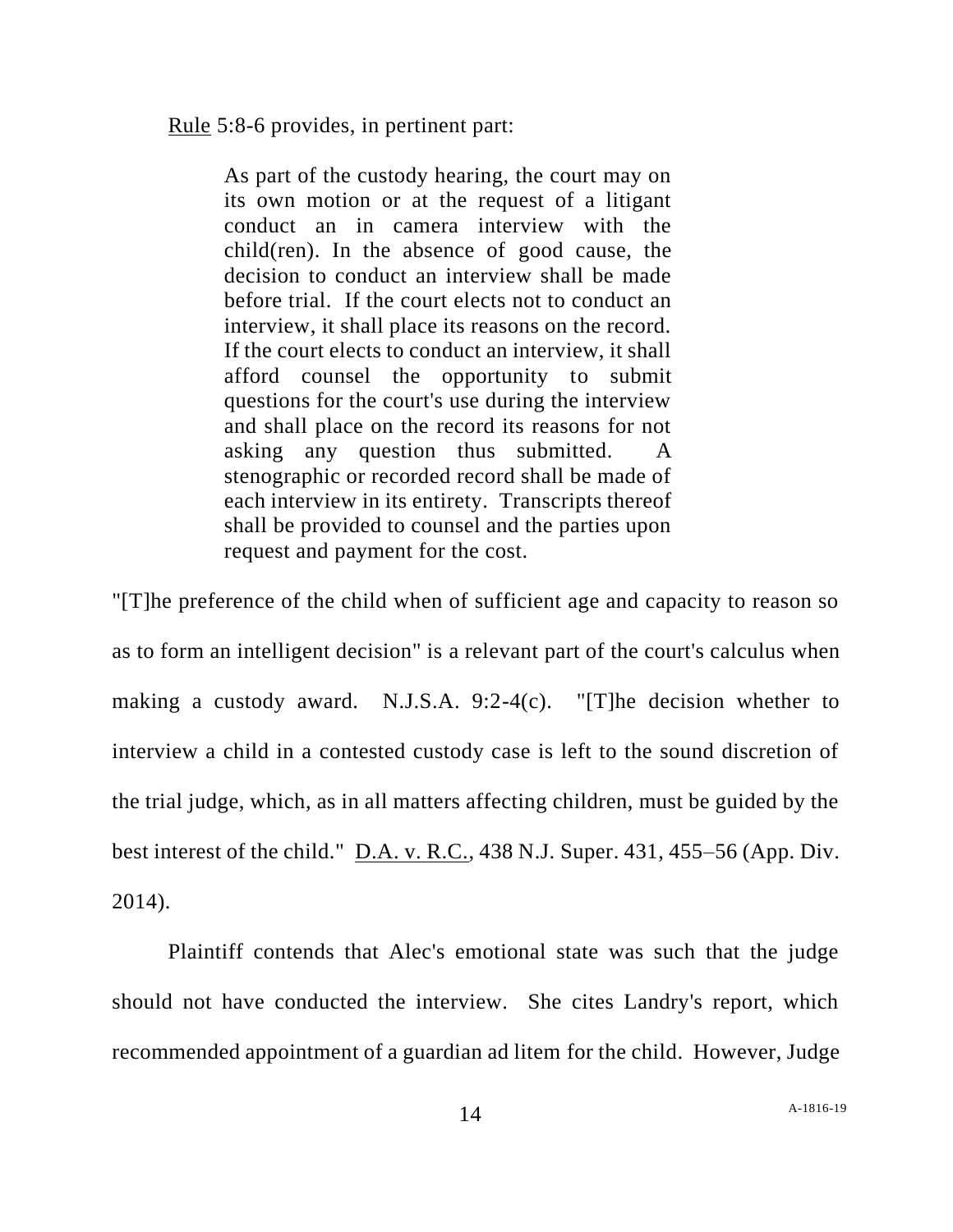Rule 5:8-6 provides, in pertinent part:

As part of the custody hearing, the court may on its own motion or at the request of a litigant conduct an in camera interview with the child(ren). In the absence of good cause, the decision to conduct an interview shall be made before trial. If the court elects not to conduct an interview, it shall place its reasons on the record. If the court elects to conduct an interview, it shall afford counsel the opportunity to submit questions for the court's use during the interview and shall place on the record its reasons for not asking any question thus submitted. stenographic or recorded record shall be made of each interview in its entirety. Transcripts thereof shall be provided to counsel and the parties upon request and payment for the cost.

"[T]he preference of the child when of sufficient age and capacity to reason so as to form an intelligent decision" is a relevant part of the court's calculus when making a custody award. N.J.S.A. 9:2-4(c). "[T]he decision whether to interview a child in a contested custody case is left to the sound discretion of the trial judge, which, as in all matters affecting children, must be guided by the best interest of the child."  $\underline{D.A. v. R.C.,}$  438 N.J. Super. 431, 455–56 (App. Div. 2014).

Plaintiff contends that Alec's emotional state was such that the judge should not have conducted the interview. She cites Landry's report, which recommended appointment of a guardian ad litem for the child. However, Judge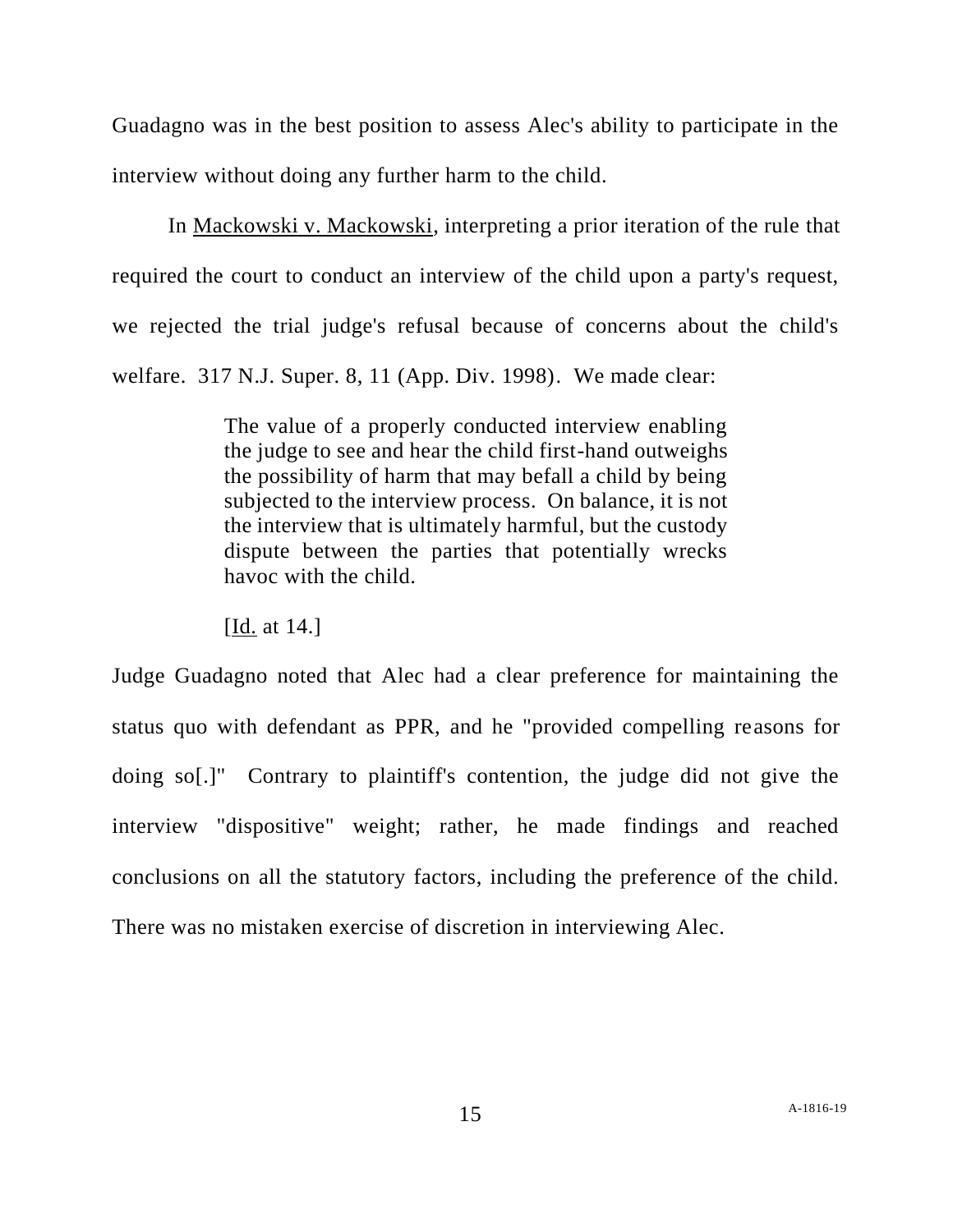Guadagno was in the best position to assess Alec's ability to participate in the interview without doing any further harm to the child.

In Mackowski v. Mackowski, interpreting a prior iteration of the rule that required the court to conduct an interview of the child upon a party's request, we rejected the trial judge's refusal because of concerns about the child's welfare. 317 N.J. Super. 8, 11 (App. Div. 1998). We made clear:

> The value of a properly conducted interview enabling the judge to see and hear the child first-hand outweighs the possibility of harm that may befall a child by being subjected to the interview process. On balance, it is not the interview that is ultimately harmful, but the custody dispute between the parties that potentially wrecks havoc with the child.

[Id. at 14.]

Judge Guadagno noted that Alec had a clear preference for maintaining the status quo with defendant as PPR, and he "provided compelling reasons for doing so[.]" Contrary to plaintiff's contention, the judge did not give the interview "dispositive" weight; rather, he made findings and reached conclusions on all the statutory factors, including the preference of the child. There was no mistaken exercise of discretion in interviewing Alec.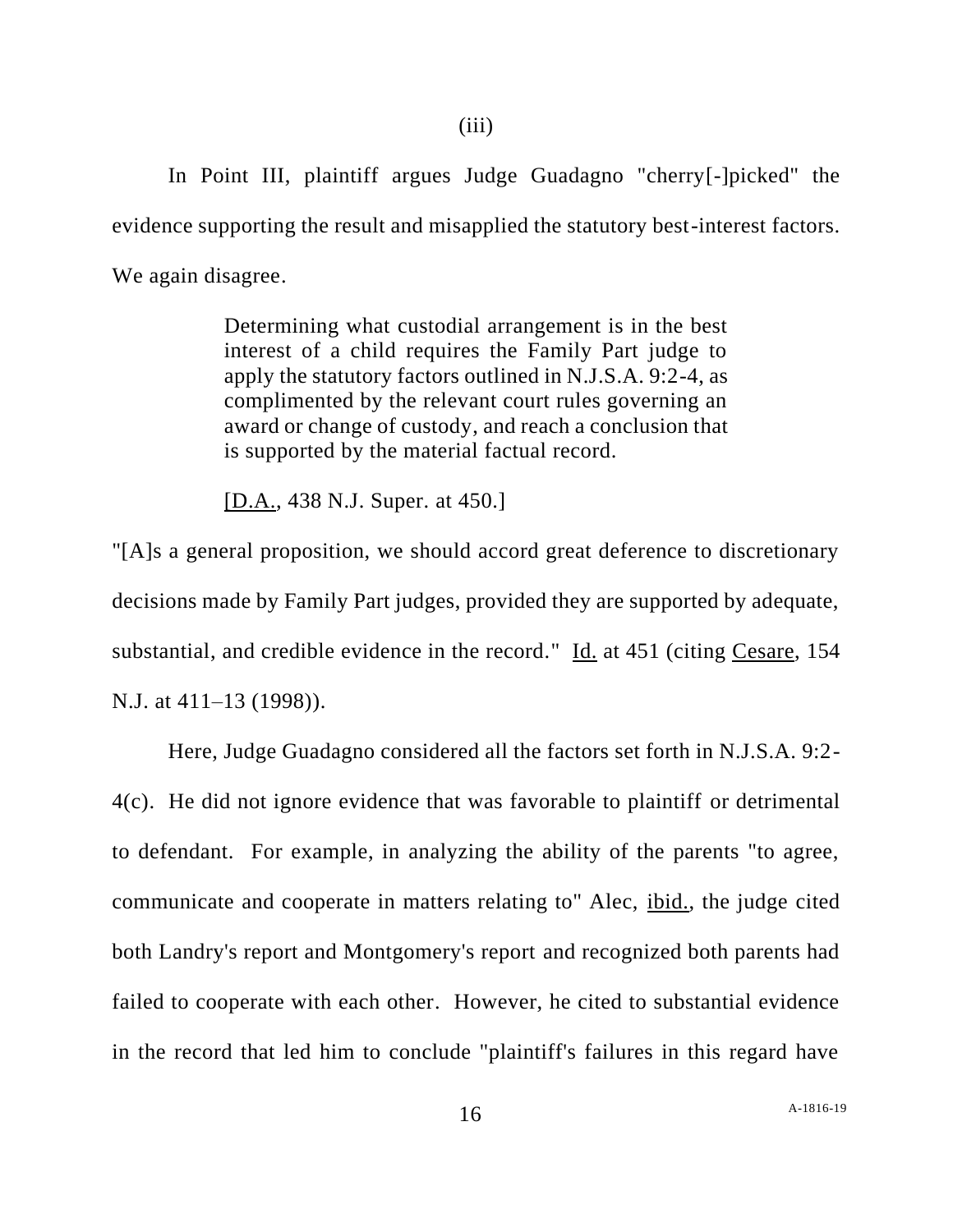In Point III, plaintiff argues Judge Guadagno "cherry[-]picked" the evidence supporting the result and misapplied the statutory best-interest factors. We again disagree.

> Determining what custodial arrangement is in the best interest of a child requires the Family Part judge to apply the statutory factors outlined in N.J.S.A. 9:2-4, as complimented by the relevant court rules governing an award or change of custody, and reach a conclusion that is supported by the material factual record.

[D.A., 438 N.J. Super. at 450.]

"[A]s a general proposition, we should accord great deference to discretionary decisions made by Family Part judges, provided they are supported by adequate, substantial, and credible evidence in the record." Id. at 451 (citing Cesare, 154 N.J. at 411–13 (1998)).

Here, Judge Guadagno considered all the factors set forth in N.J.S.A. 9:2- 4(c). He did not ignore evidence that was favorable to plaintiff or detrimental to defendant. For example, in analyzing the ability of the parents "to agree, communicate and cooperate in matters relating to" Alec, ibid., the judge cited both Landry's report and Montgomery's report and recognized both parents had failed to cooperate with each other. However, he cited to substantial evidence in the record that led him to conclude "plaintiff's failures in this regard have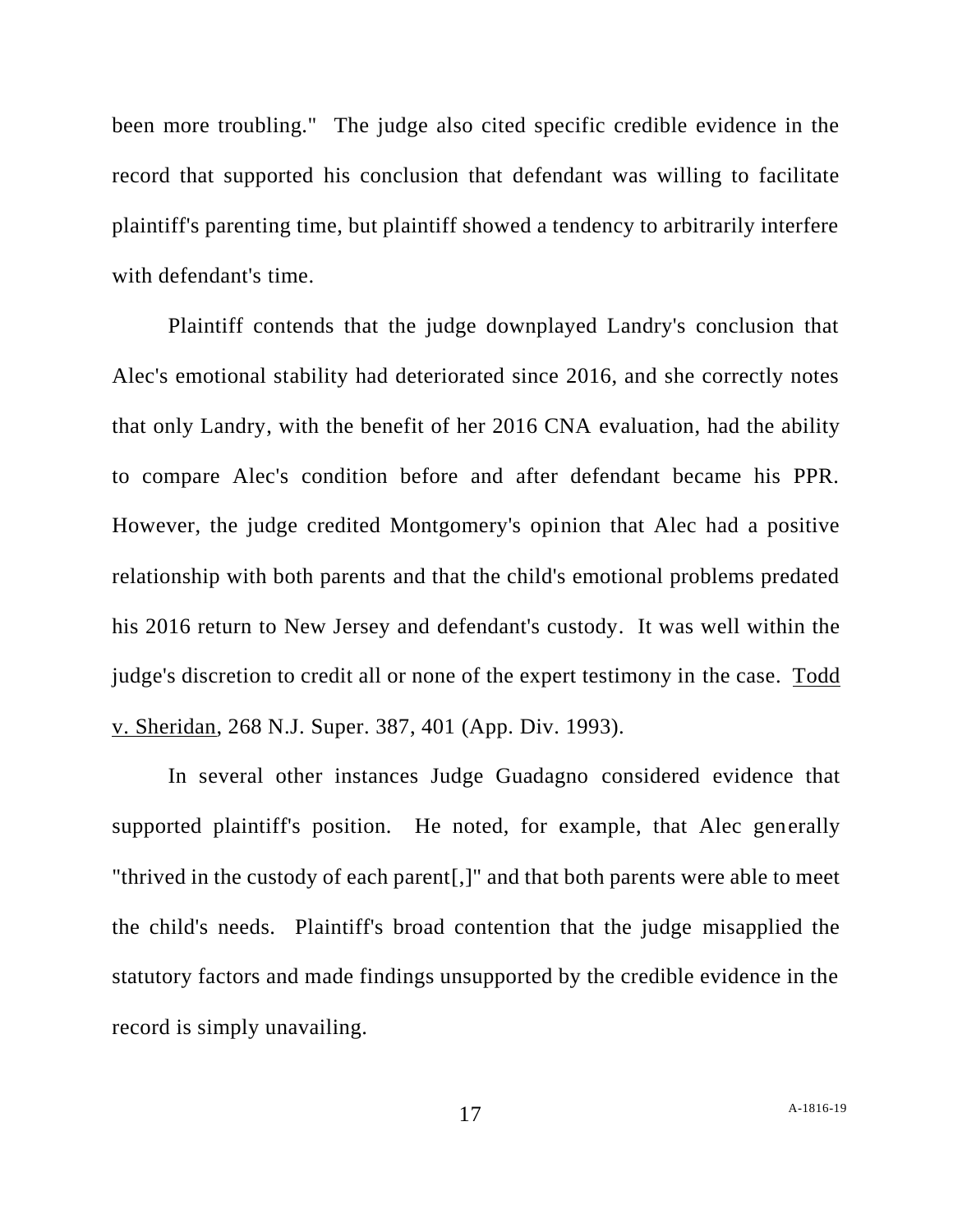been more troubling." The judge also cited specific credible evidence in the record that supported his conclusion that defendant was willing to facilitate plaintiff's parenting time, but plaintiff showed a tendency to arbitrarily interfere with defendant's time.

Plaintiff contends that the judge downplayed Landry's conclusion that Alec's emotional stability had deteriorated since 2016, and she correctly notes that only Landry, with the benefit of her 2016 CNA evaluation, had the ability to compare Alec's condition before and after defendant became his PPR. However, the judge credited Montgomery's opinion that Alec had a positive relationship with both parents and that the child's emotional problems predated his 2016 return to New Jersey and defendant's custody. It was well within the judge's discretion to credit all or none of the expert testimony in the case. Todd v. Sheridan, 268 N.J. Super. 387, 401 (App. Div. 1993).

In several other instances Judge Guadagno considered evidence that supported plaintiff's position. He noted, for example, that Alec generally "thrived in the custody of each parent[,]" and that both parents were able to meet the child's needs. Plaintiff's broad contention that the judge misapplied the statutory factors and made findings unsupported by the credible evidence in the record is simply unavailing.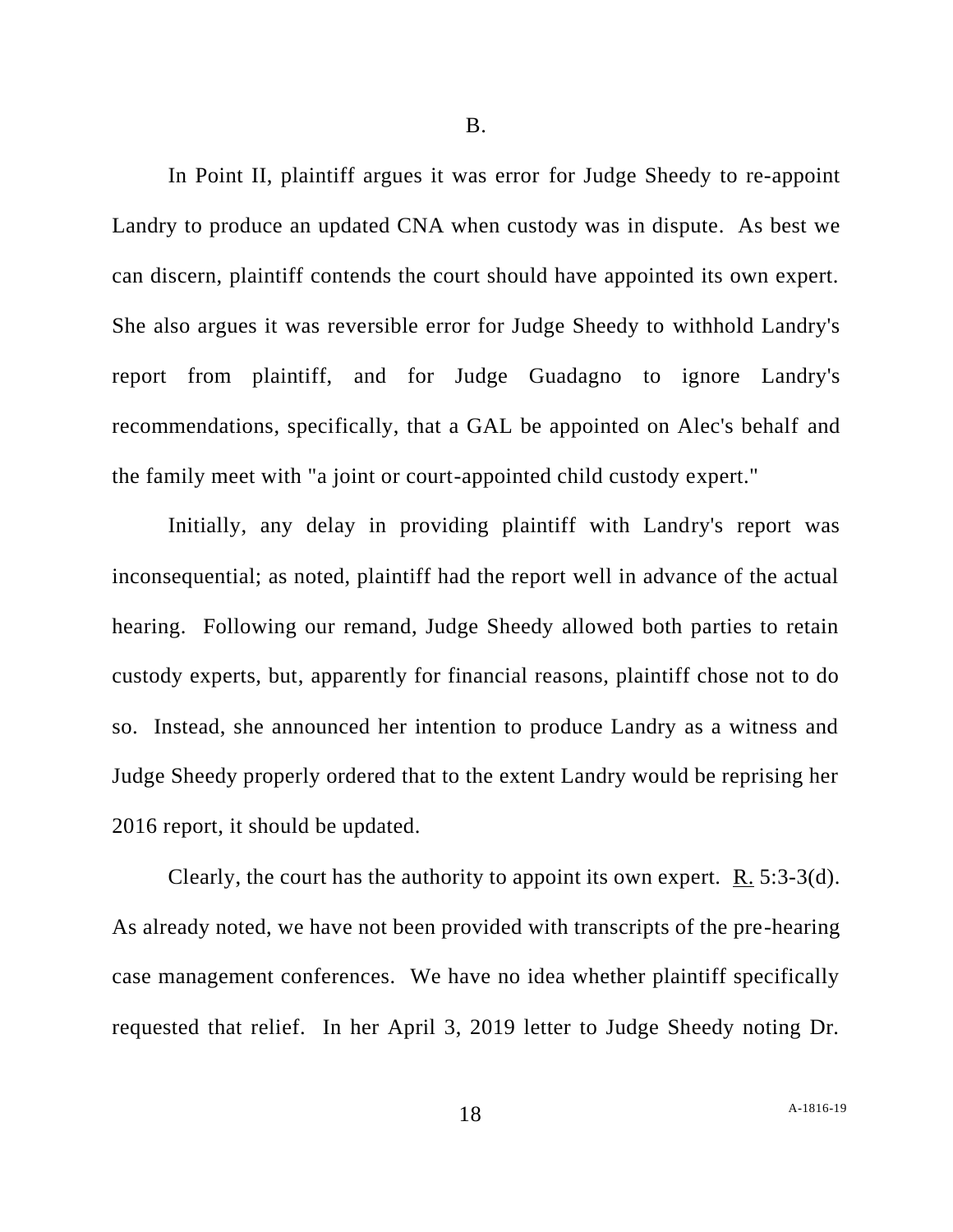In Point II, plaintiff argues it was error for Judge Sheedy to re-appoint Landry to produce an updated CNA when custody was in dispute. As best we can discern, plaintiff contends the court should have appointed its own expert. She also argues it was reversible error for Judge Sheedy to withhold Landry's report from plaintiff, and for Judge Guadagno to ignore Landry's recommendations, specifically, that a GAL be appointed on Alec's behalf and the family meet with "a joint or court-appointed child custody expert."

Initially, any delay in providing plaintiff with Landry's report was inconsequential; as noted, plaintiff had the report well in advance of the actual hearing. Following our remand, Judge Sheedy allowed both parties to retain custody experts, but, apparently for financial reasons, plaintiff chose not to do so. Instead, she announced her intention to produce Landry as a witness and Judge Sheedy properly ordered that to the extent Landry would be reprising her 2016 report, it should be updated.

Clearly, the court has the authority to appoint its own expert.  $\underline{R}$ . 5:3-3(d). As already noted, we have not been provided with transcripts of the pre-hearing case management conferences. We have no idea whether plaintiff specifically requested that relief. In her April 3, 2019 letter to Judge Sheedy noting Dr.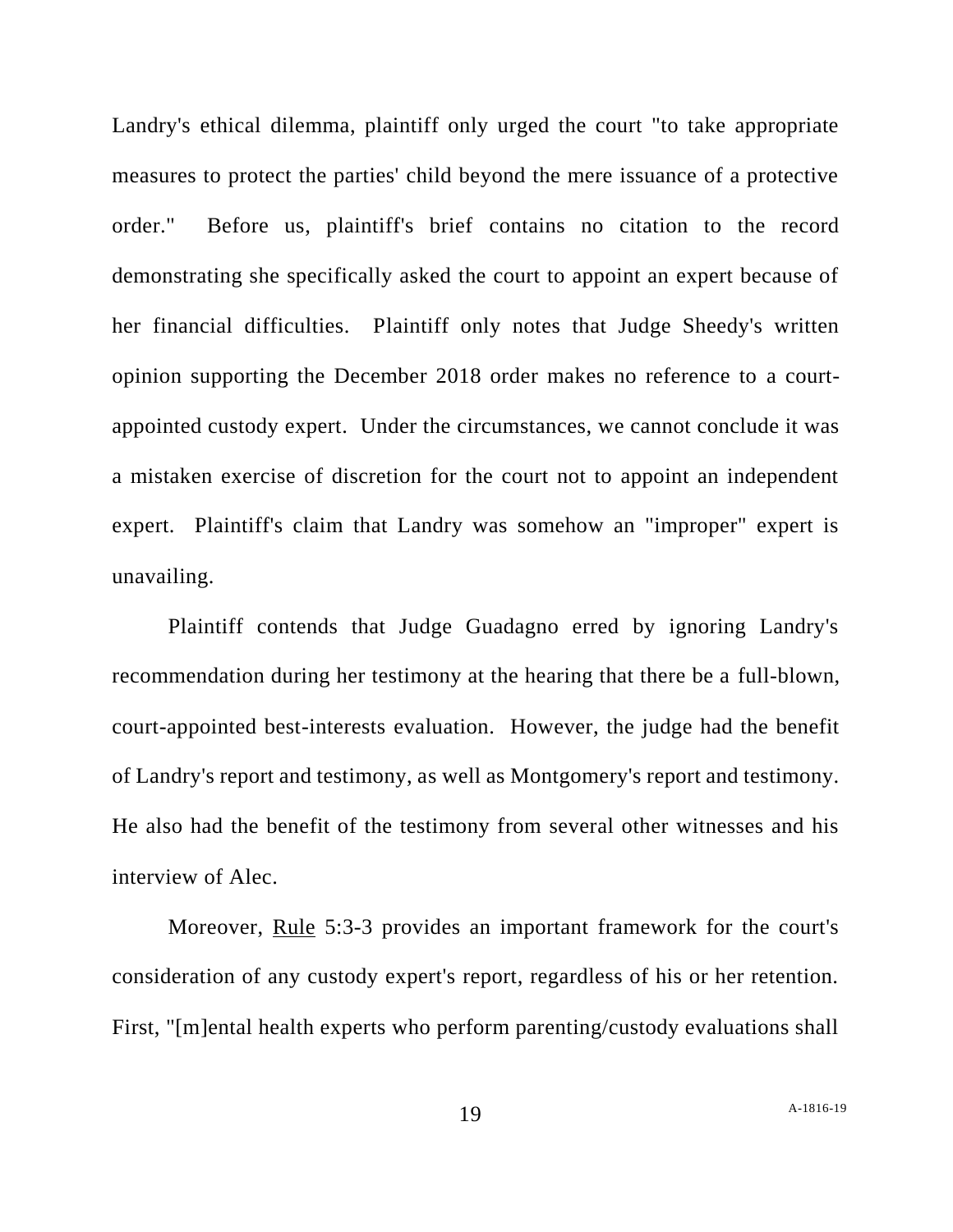Landry's ethical dilemma, plaintiff only urged the court "to take appropriate measures to protect the parties' child beyond the mere issuance of a protective order." Before us, plaintiff's brief contains no citation to the record demonstrating she specifically asked the court to appoint an expert because of her financial difficulties. Plaintiff only notes that Judge Sheedy's written opinion supporting the December 2018 order makes no reference to a courtappointed custody expert. Under the circumstances, we cannot conclude it was a mistaken exercise of discretion for the court not to appoint an independent expert. Plaintiff's claim that Landry was somehow an "improper" expert is unavailing.

Plaintiff contends that Judge Guadagno erred by ignoring Landry's recommendation during her testimony at the hearing that there be a full-blown, court-appointed best-interests evaluation. However, the judge had the benefit of Landry's report and testimony, as well as Montgomery's report and testimony. He also had the benefit of the testimony from several other witnesses and his interview of Alec.

Moreover, Rule 5:3-3 provides an important framework for the court's consideration of any custody expert's report, regardless of his or her retention. First, "[m]ental health experts who perform parenting/custody evaluations shall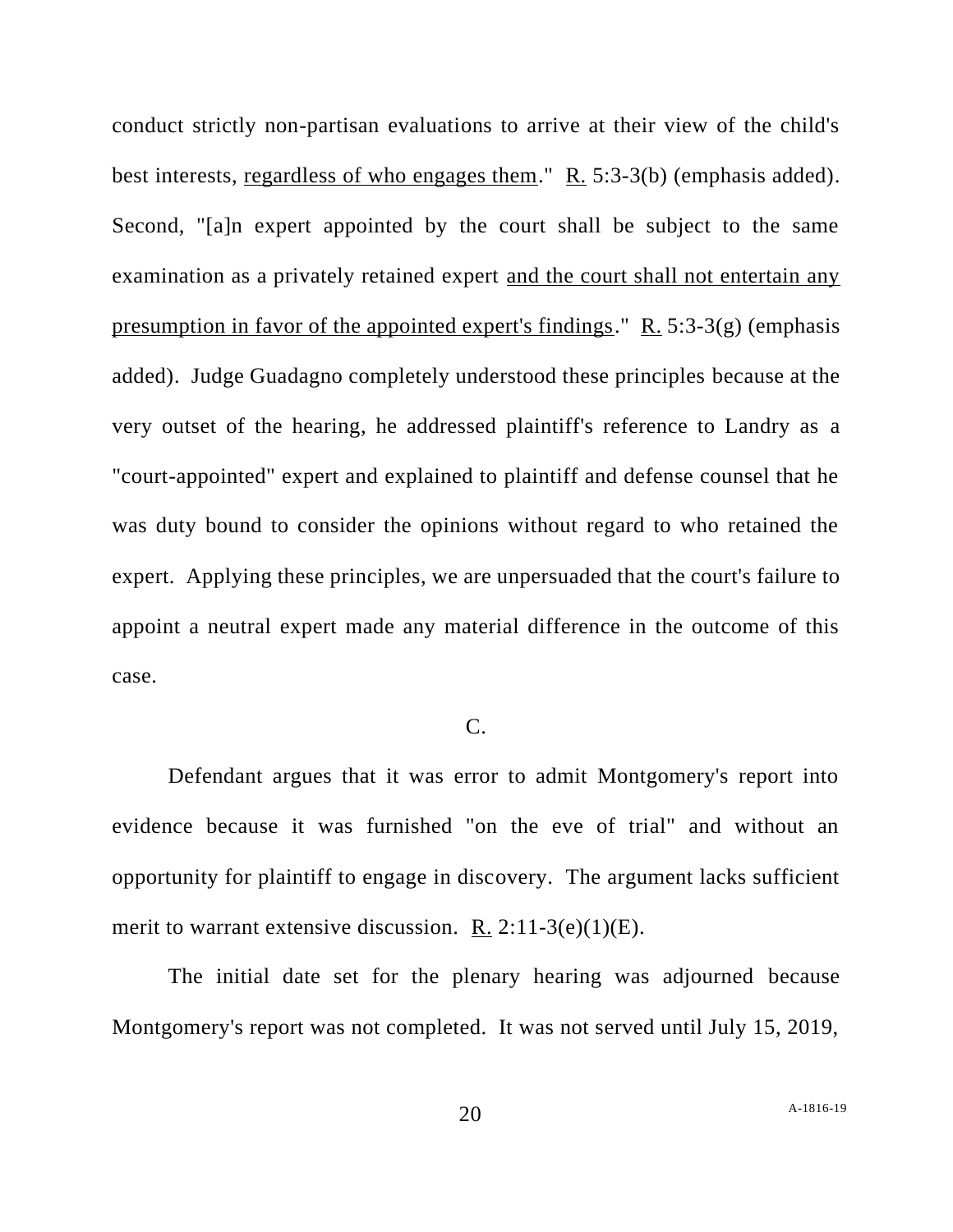conduct strictly non-partisan evaluations to arrive at their view of the child's best interests, regardless of who engages them." R. 5:3-3(b) (emphasis added). Second, "[a]n expert appointed by the court shall be subject to the same examination as a privately retained expert and the court shall not entertain any presumption in favor of the appointed expert's findings."  $R$ . 5:3-3(g) (emphasis added). Judge Guadagno completely understood these principles because at the very outset of the hearing, he addressed plaintiff's reference to Landry as a "court-appointed" expert and explained to plaintiff and defense counsel that he was duty bound to consider the opinions without regard to who retained the expert. Applying these principles, we are unpersuaded that the court's failure to appoint a neutral expert made any material difference in the outcome of this case.

# C.

Defendant argues that it was error to admit Montgomery's report into evidence because it was furnished "on the eve of trial" and without an opportunity for plaintiff to engage in discovery. The argument lacks sufficient merit to warrant extensive discussion. R. 2:11-3(e)(1)(E).

The initial date set for the plenary hearing was adjourned because Montgomery's report was not completed. It was not served until July 15, 2019,